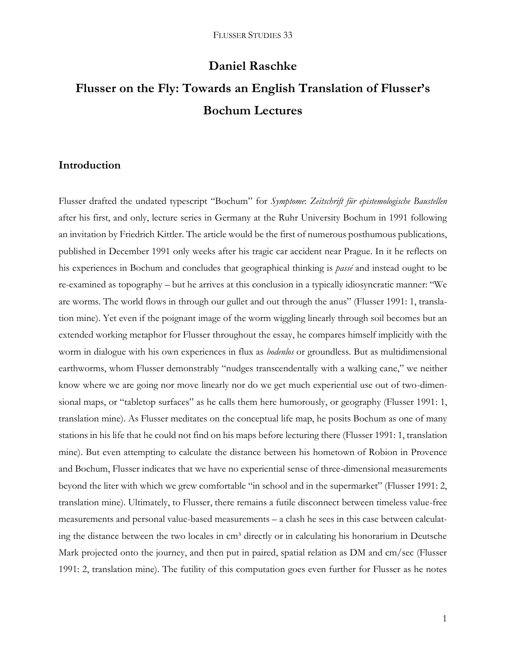# **Daniel Raschke**

# **Flusser on the Fly: Towards an English Translation of Flusser's Bochum Lectures**

### **Introduction**

Flusser drafted the undated typescript "Bochum" for *Symptome*: *Zeitschrift für epistemologische Baustellen* after his first, and only, lecture series in Germany at the Ruhr University Bochum in 1991 following an invitation by Friedrich Kittler. The article would be the first of numerous posthumous publications, published in December 1991 only weeks after his tragic car accident near Prague. In it he reflects on his experiences in Bochum and concludes that geographical thinking is *passé* and instead ought to be re-examined as topography – but he arrives at this conclusion in a typically idiosyncratic manner: "We are worms. The world flows in through our gullet and out through the anus" (Flusser 1991: 1, translation mine). Yet even if the poignant image of the worm wiggling linearly through soil becomes but an extended working metaphor for Flusser throughout the essay, he compares himself implicitly with the worm in dialogue with his own experiences in flux as *bodenlos* or groundless. But as multidimensional earthworms, whom Flusser demonstrably "nudges transcendentally with a walking cane," we neither know where we are going nor move linearly nor do we get much experiential use out of two-dimensional maps, or "tabletop surfaces" as he calls them here humorously, or geography (Flusser 1991: 1, translation mine). As Flusser meditates on the conceptual life map, he posits Bochum as one of many stations in his life that he could not find on his maps before lecturing there (Flusser 1991: 1, translation mine). But even attempting to calculate the distance between his hometown of Robion in Provence and Bochum, Flusser indicates that we have no experiential sense of three-dimensional measurements beyond the liter with which we grew comfortable "in school and in the supermarket" (Flusser 1991: 2, translation mine). Ultimately, to Flusser, there remains a futile disconnect between timeless value-free measurements and personal value-based measurements – a clash he sees in this case between calculating the distance between the two locales in cm<sup>3</sup> directly or in calculating his honorarium in Deutsche Mark projected onto the journey, and then put in paired, spatial relation as DM and cm/sec (Flusser 1991: 2, translation mine). The futility of this computation goes even further for Flusser as he notes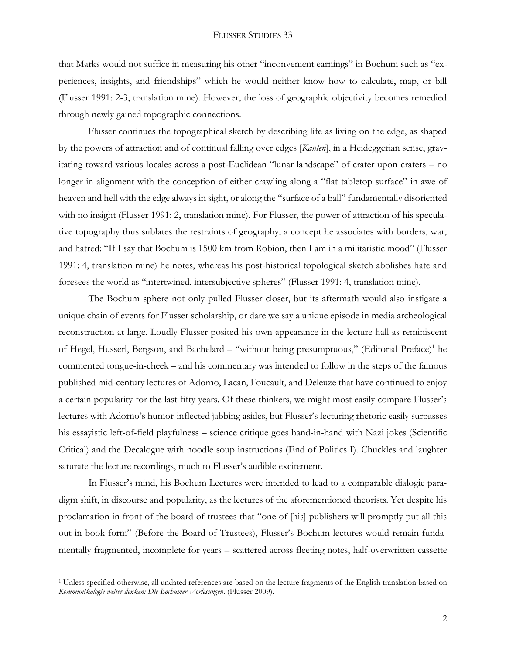that Marks would not suffice in measuring his other "inconvenient earnings" in Bochum such as "experiences, insights, and friendships" which he would neither know how to calculate, map, or bill (Flusser 1991: 2-3, translation mine). However, the loss of geographic objectivity becomes remedied through newly gained topographic connections.

Flusser continues the topographical sketch by describing life as living on the edge, as shaped by the powers of attraction and of continual falling over edges [*Kanten*], in a Heideggerian sense, gravitating toward various locales across a post-Euclidean "lunar landscape" of crater upon craters – no longer in alignment with the conception of either crawling along a "flat tabletop surface" in awe of heaven and hell with the edge always in sight, or along the "surface of a ball" fundamentally disoriented with no insight (Flusser 1991: 2, translation mine). For Flusser, the power of attraction of his speculative topography thus sublates the restraints of geography, a concept he associates with borders, war, and hatred: "If I say that Bochum is 1500 km from Robion, then I am in a militaristic mood" (Flusser 1991: 4, translation mine) he notes, whereas his post-historical topological sketch abolishes hate and foresees the world as "intertwined, intersubjective spheres" (Flusser 1991: 4, translation mine).

The Bochum sphere not only pulled Flusser closer, but its aftermath would also instigate a unique chain of events for Flusser scholarship, or dare we say a unique episode in media archeological reconstruction at large. Loudly Flusser posited his own appearance in the lecture hall as reminiscent of Hegel, Husserl, Bergson, and Bachelard – "without being presumptuous," (Editorial Preface)<sup>1</sup> he commented tongue-in-cheek – and his commentary was intended to follow in the steps of the famous published mid-century lectures of Adorno, Lacan, Foucault, and Deleuze that have continued to enjoy a certain popularity for the last fifty years. Of these thinkers, we might most easily compare Flusser's lectures with Adorno's humor-inflected jabbing asides, but Flusser's lecturing rhetoric easily surpasses his essayistic left-of-field playfulness – science critique goes hand-in-hand with Nazi jokes (Scientific Critical) and the Decalogue with noodle soup instructions (End of Politics I). Chuckles and laughter saturate the lecture recordings, much to Flusser's audible excitement.

In Flusser's mind, his Bochum Lectures were intended to lead to a comparable dialogic paradigm shift, in discourse and popularity, as the lectures of the aforementioned theorists. Yet despite his proclamation in front of the board of trustees that "one of [his] publishers will promptly put all this out in book form" (Before the Board of Trustees), Flusser's Bochum lectures would remain fundamentally fragmented, incomplete for years – scattered across fleeting notes, half-overwritten cassette

 $\overline{a}$ 

<sup>&</sup>lt;sup>1</sup> Unless specified otherwise, all undated references are based on the lecture fragments of the English translation based on *Kommunikologie weiter denken: Die Bochumer Vorlesungen*. (Flusser 2009).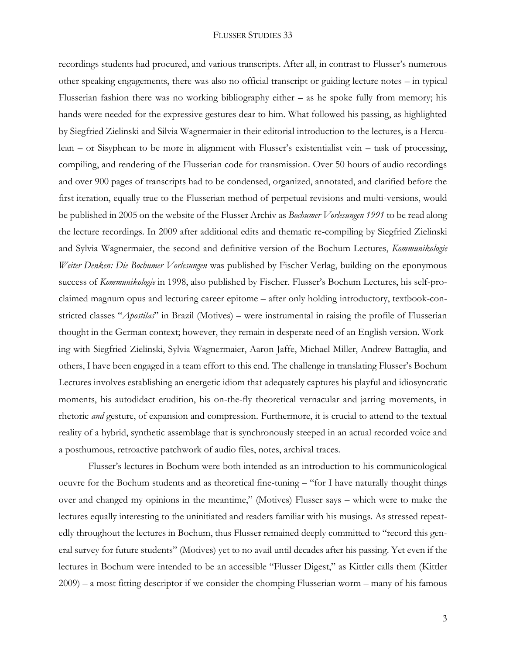recordings students had procured, and various transcripts. After all, in contrast to Flusser's numerous other speaking engagements, there was also no official transcript or guiding lecture notes – in typical Flusserian fashion there was no working bibliography either – as he spoke fully from memory; his hands were needed for the expressive gestures dear to him. What followed his passing, as highlighted by Siegfried Zielinski and Silvia Wagnermaier in their editorial introduction to the lectures, is a Herculean – or Sisyphean to be more in alignment with Flusser's existentialist vein – task of processing, compiling, and rendering of the Flusserian code for transmission. Over 50 hours of audio recordings and over 900 pages of transcripts had to be condensed, organized, annotated, and clarified before the first iteration, equally true to the Flusserian method of perpetual revisions and multi-versions, would be published in 2005 on the website of the Flusser Archiv as *Bochumer Vorlesungen 1991* to be read along the lecture recordings. In 2009 after additional edits and thematic re-compiling by Siegfried Zielinski and Sylvia Wagnermaier, the second and definitive version of the Bochum Lectures, *Kommunikologie Weiter Denken: Die Bochumer Vorlesungen* was published by Fischer Verlag, building on the eponymous success of *Kommunikologie* in 1998, also published by Fischer. Flusser's Bochum Lectures, his self-proclaimed magnum opus and lecturing career epitome – after only holding introductory, textbook-constricted classes "*Apostilas*" in Brazil (Motives) – were instrumental in raising the profile of Flusserian thought in the German context; however, they remain in desperate need of an English version. Working with Siegfried Zielinski, Sylvia Wagnermaier, Aaron Jaffe, Michael Miller, Andrew Battaglia, and others, I have been engaged in a team effort to this end. The challenge in translating Flusser's Bochum Lectures involves establishing an energetic idiom that adequately captures his playful and idiosyncratic moments, his autodidact erudition, his on-the-fly theoretical vernacular and jarring movements, in rhetoric *and* gesture, of expansion and compression. Furthermore, it is crucial to attend to the textual reality of a hybrid, synthetic assemblage that is synchronously steeped in an actual recorded voice and a posthumous, retroactive patchwork of audio files, notes, archival traces.

Flusser's lectures in Bochum were both intended as an introduction to his communicological oeuvre for the Bochum students and as theoretical fine-tuning – "for I have naturally thought things over and changed my opinions in the meantime," (Motives) Flusser says – which were to make the lectures equally interesting to the uninitiated and readers familiar with his musings. As stressed repeatedly throughout the lectures in Bochum, thus Flusser remained deeply committed to "record this general survey for future students" (Motives) yet to no avail until decades after his passing. Yet even if the lectures in Bochum were intended to be an accessible "Flusser Digest," as Kittler calls them (Kittler 2009) – a most fitting descriptor if we consider the chomping Flusserian worm – many of his famous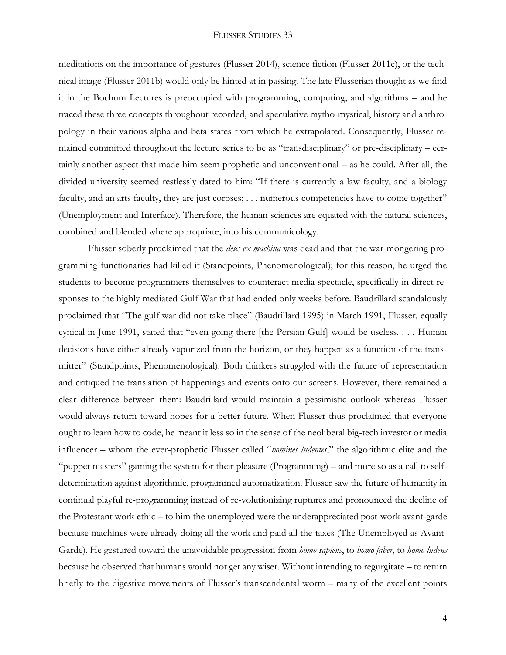meditations on the importance of gestures (Flusser 2014), science fiction (Flusser 2011c), or the technical image (Flusser 2011b) would only be hinted at in passing. The late Flusserian thought as we find it in the Bochum Lectures is preoccupied with programming, computing, and algorithms – and he traced these three concepts throughout recorded, and speculative mytho-mystical, history and anthropology in their various alpha and beta states from which he extrapolated. Consequently, Flusser remained committed throughout the lecture series to be as "transdisciplinary" or pre-disciplinary – certainly another aspect that made him seem prophetic and unconventional – as he could. After all, the divided university seemed restlessly dated to him: "If there is currently a law faculty, and a biology faculty, and an arts faculty, they are just corpses; ... numerous competencies have to come together" (Unemployment and Interface). Therefore, the human sciences are equated with the natural sciences, combined and blended where appropriate, into his communicology.

Flusser soberly proclaimed that the *deus ex machina* was dead and that the war-mongering programming functionaries had killed it (Standpoints, Phenomenological); for this reason, he urged the students to become programmers themselves to counteract media spectacle, specifically in direct responses to the highly mediated Gulf War that had ended only weeks before. Baudrillard scandalously proclaimed that "The gulf war did not take place" (Baudrillard 1995) in March 1991, Flusser, equally cynical in June 1991, stated that "even going there [the Persian Gulf] would be useless. . . . Human decisions have either already vaporized from the horizon, or they happen as a function of the transmitter" (Standpoints, Phenomenological). Both thinkers struggled with the future of representation and critiqued the translation of happenings and events onto our screens. However, there remained a clear difference between them: Baudrillard would maintain a pessimistic outlook whereas Flusser would always return toward hopes for a better future. When Flusser thus proclaimed that everyone ought to learn how to code, he meant it less so in the sense of the neoliberal big-tech investor or media influencer – whom the ever-prophetic Flusser called "*homines ludentes*," the algorithmic elite and the "puppet masters" gaming the system for their pleasure (Programming) – and more so as a call to selfdetermination against algorithmic, programmed automatization. Flusser saw the future of humanity in continual playful re-programming instead of re-volutionizing ruptures and pronounced the decline of the Protestant work ethic – to him the unemployed were the underappreciated post-work avant-garde because machines were already doing all the work and paid all the taxes (The Unemployed as Avant-Garde). He gestured toward the unavoidable progression from *homo sapiens*, to *homo faber*, to *homo ludens* because he observed that humans would not get any wiser. Without intending to regurgitate – to return briefly to the digestive movements of Flusser's transcendental worm – many of the excellent points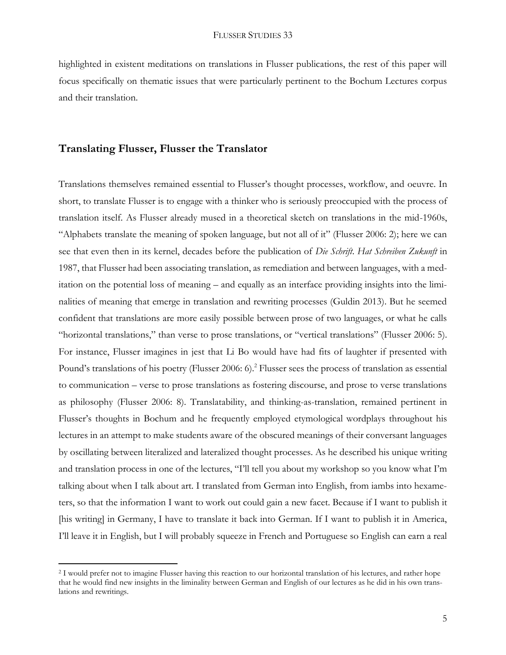highlighted in existent meditations on translations in Flusser publications, the rest of this paper will focus specifically on thematic issues that were particularly pertinent to the Bochum Lectures corpus and their translation.

#### **Translating Flusser, Flusser the Translator**

 $\overline{a}$ 

Translations themselves remained essential to Flusser's thought processes, workflow, and oeuvre. In short, to translate Flusser is to engage with a thinker who is seriously preoccupied with the process of translation itself. As Flusser already mused in a theoretical sketch on translations in the mid-1960s, "Alphabets translate the meaning of spoken language, but not all of it" (Flusser 2006: 2); here we can see that even then in its kernel, decades before the publication of *Die Schrift*. *Hat Schreiben Zukunft* in 1987, that Flusser had been associating translation, as remediation and between languages, with a meditation on the potential loss of meaning – and equally as an interface providing insights into the liminalities of meaning that emerge in translation and rewriting processes (Guldin 2013). But he seemed confident that translations are more easily possible between prose of two languages, or what he calls "horizontal translations," than verse to prose translations, or "vertical translations" (Flusser 2006: 5). For instance, Flusser imagines in jest that Li Bo would have had fits of laughter if presented with Pound's translations of his poetry (Flusser 2006: 6).<sup>2</sup> Flusser sees the process of translation as essential to communication – verse to prose translations as fostering discourse, and prose to verse translations as philosophy (Flusser 2006: 8). Translatability, and thinking-as-translation, remained pertinent in Flusser's thoughts in Bochum and he frequently employed etymological wordplays throughout his lectures in an attempt to make students aware of the obscured meanings of their conversant languages by oscillating between literalized and lateralized thought processes. As he described his unique writing and translation process in one of the lectures, "I'll tell you about my workshop so you know what I'm talking about when I talk about art. I translated from German into English, from iambs into hexameters, so that the information I want to work out could gain a new facet. Because if I want to publish it [his writing] in Germany, I have to translate it back into German. If I want to publish it in America, I'll leave it in English, but I will probably squeeze in French and Portuguese so English can earn a real

<sup>2</sup> I would prefer not to imagine Flusser having this reaction to our horizontal translation of his lectures, and rather hope that he would find new insights in the liminality between German and English of our lectures as he did in his own translations and rewritings.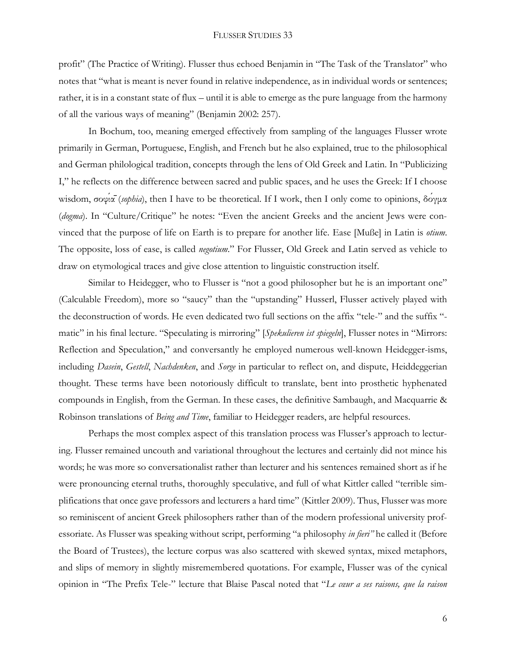profit" (The Practice of Writing). Flusser thus echoed Benjamin in "The Task of the Translator" who notes that "what is meant is never found in relative independence, as in individual words or sentences; rather, it is in a constant state of flux – until it is able to emerge as the pure language from the harmony of all the various ways of meaning" (Benjamin 2002: 257).

In Bochum, too, meaning emerged effectively from sampling of the languages Flusser wrote primarily in German, Portuguese, English, and French but he also explained, true to the philosophical and German philological tradition, concepts through the lens of Old Greek and Latin. In "Publicizing I," he reflects on the difference between sacred and public spaces, and he uses the Greek: If I choose wisdom, σοφία<sup>-</sup>(*sophia*), then I have to be theoretical. If I work, then I only come to opinions, δόγμα (*dogma*). In "Culture/Critique" he notes: "Even the ancient Greeks and the ancient Jews were convinced that the purpose of life on Earth is to prepare for another life. Ease [Muße] in Latin is *otium*. The opposite, loss of ease, is called *negotium*." For Flusser, Old Greek and Latin served as vehicle to draw on etymological traces and give close attention to linguistic construction itself.

Similar to Heidegger, who to Flusser is "not a good philosopher but he is an important one" (Calculable Freedom), more so "saucy" than the "upstanding" Husserl, Flusser actively played with the deconstruction of words. He even dedicated two full sections on the affix "tele-" and the suffix " matic" in his final lecture. "Speculating is mirroring" [*Spekulieren ist spiegeln*], Flusser notes in "Mirrors: Reflection and Speculation," and conversantly he employed numerous well-known Heidegger-isms, including *Dasein*, *Gestell*, *Nachdenken*, and *Sorge* in particular to reflect on, and dispute, Heiddeggerian thought. These terms have been notoriously difficult to translate, bent into prosthetic hyphenated compounds in English, from the German. In these cases, the definitive Sambaugh, and Macquarrie & Robinson translations of *Being and Time*, familiar to Heidegger readers, are helpful resources.

Perhaps the most complex aspect of this translation process was Flusser's approach to lecturing. Flusser remained uncouth and variational throughout the lectures and certainly did not mince his words; he was more so conversationalist rather than lecturer and his sentences remained short as if he were pronouncing eternal truths, thoroughly speculative, and full of what Kittler called "terrible simplifications that once gave professors and lecturers a hard time" (Kittler 2009). Thus, Flusser was more so reminiscent of ancient Greek philosophers rather than of the modern professional university professoriate. As Flusser was speaking without script, performing "a philosophy *in fieri"* he called it (Before the Board of Trustees), the lecture corpus was also scattered with skewed syntax, mixed metaphors, and slips of memory in slightly misremembered quotations. For example, Flusser was of the cynical opinion in "The Prefix Tele-" lecture that Blaise Pascal noted that "*Le cœur a ses raisons, que la raison*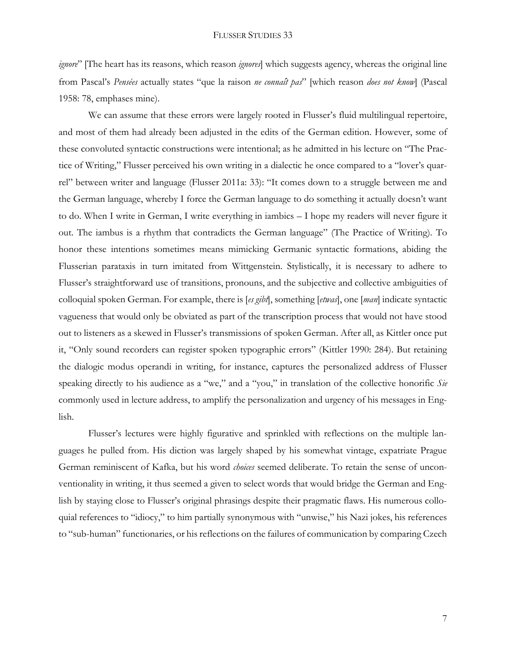*ignore*" [The heart has its reasons, which reason *ignores*] which suggests agency, whereas the original line from Pascal's *Pensées* actually states "que la raison *ne connaît pas*" [which reason *does not know*] (Pascal 1958: 78, emphases mine).

We can assume that these errors were largely rooted in Flusser's fluid multilingual repertoire, and most of them had already been adjusted in the edits of the German edition. However, some of these convoluted syntactic constructions were intentional; as he admitted in his lecture on "The Practice of Writing," Flusser perceived his own writing in a dialectic he once compared to a "lover's quarrel" between writer and language (Flusser 2011a: 33): "It comes down to a struggle between me and the German language, whereby I force the German language to do something it actually doesn't want to do. When I write in German, I write everything in iambics – I hope my readers will never figure it out. The iambus is a rhythm that contradicts the German language" (The Practice of Writing). To honor these intentions sometimes means mimicking Germanic syntactic formations, abiding the Flusserian parataxis in turn imitated from Wittgenstein. Stylistically, it is necessary to adhere to Flusser's straightforward use of transitions, pronouns, and the subjective and collective ambiguities of colloquial spoken German. For example, there is [*es gibt*], something [*etwas*], one [*man*] indicate syntactic vagueness that would only be obviated as part of the transcription process that would not have stood out to listeners as a skewed in Flusser's transmissions of spoken German. After all, as Kittler once put it, "Only sound recorders can register spoken typographic errors" (Kittler 1990: 284). But retaining the dialogic modus operandi in writing, for instance, captures the personalized address of Flusser speaking directly to his audience as a "we," and a "you," in translation of the collective honorific *Sie* commonly used in lecture address, to amplify the personalization and urgency of his messages in English.

Flusser's lectures were highly figurative and sprinkled with reflections on the multiple languages he pulled from. His diction was largely shaped by his somewhat vintage, expatriate Prague German reminiscent of Kafka, but his word *choices* seemed deliberate. To retain the sense of unconventionality in writing, it thus seemed a given to select words that would bridge the German and English by staying close to Flusser's original phrasings despite their pragmatic flaws. His numerous colloquial references to "idiocy," to him partially synonymous with "unwise," his Nazi jokes, his references to "sub-human" functionaries, or his reflections on the failures of communication by comparing Czech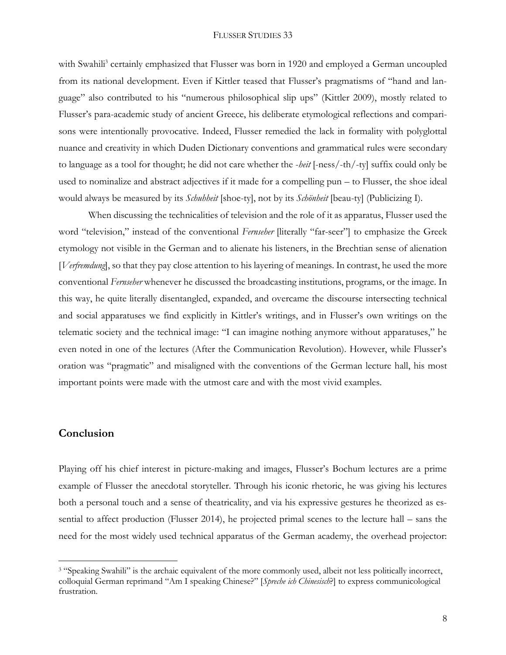with Swahili<sup>3</sup> certainly emphasized that Flusser was born in 1920 and employed a German uncoupled from its national development. Even if Kittler teased that Flusser's pragmatisms of "hand and language" also contributed to his "numerous philosophical slip ups" (Kittler 2009), mostly related to Flusser's para-academic study of ancient Greece, his deliberate etymological reflections and comparisons were intentionally provocative. Indeed, Flusser remedied the lack in formality with polyglottal nuance and creativity in which Duden Dictionary conventions and grammatical rules were secondary to language as a tool for thought; he did not care whether the -*heit* [-ness/-th/-ty] suffix could only be used to nominalize and abstract adjectives if it made for a compelling pun – to Flusser, the shoe ideal would always be measured by its *Schuhheit* [shoe-ty], not by its *Schönheit* [beau-ty] (Publicizing I).

When discussing the technicalities of television and the role of it as apparatus, Flusser used the word "television," instead of the conventional *Fernseher* [literally "far-seer"] to emphasize the Greek etymology not visible in the German and to alienate his listeners, in the Brechtian sense of alienation [*Verfremdung*], so that they pay close attention to his layering of meanings. In contrast, he used the more conventional *Fernseher* whenever he discussed the broadcasting institutions, programs, or the image. In this way, he quite literally disentangled, expanded, and overcame the discourse intersecting technical and social apparatuses we find explicitly in Kittler's writings, and in Flusser's own writings on the telematic society and the technical image: "I can imagine nothing anymore without apparatuses," he even noted in one of the lectures (After the Communication Revolution). However, while Flusser's oration was "pragmatic" and misaligned with the conventions of the German lecture hall, his most important points were made with the utmost care and with the most vivid examples.

## **Conclusion**

 $\overline{a}$ 

Playing off his chief interest in picture-making and images, Flusser's Bochum lectures are a prime example of Flusser the anecdotal storyteller. Through his iconic rhetoric, he was giving his lectures both a personal touch and a sense of theatricality, and via his expressive gestures he theorized as essential to affect production (Flusser 2014), he projected primal scenes to the lecture hall – sans the need for the most widely used technical apparatus of the German academy, the overhead projector:

<sup>&</sup>lt;sup>3</sup> "Speaking Swahili" is the archaic equivalent of the more commonly used, albeit not less politically incorrect, colloquial German reprimand "Am I speaking Chinese?" [*Spreche ich Chinesisch*?] to express communicological frustration.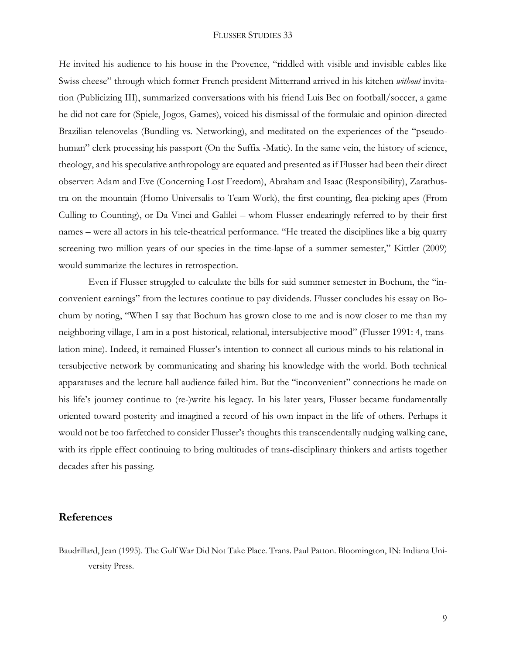#### FLUSSER STUDIES 33

He invited his audience to his house in the Provence, "riddled with visible and invisible cables like Swiss cheese" through which former French president Mitterrand arrived in his kitchen *without* invitation (Publicizing III), summarized conversations with his friend Luis Bec on football/soccer, a game he did not care for (Spiele, Jogos, Games), voiced his dismissal of the formulaic and opinion-directed Brazilian telenovelas (Bundling vs. Networking), and meditated on the experiences of the "pseudohuman" clerk processing his passport (On the Suffix -Matic). In the same vein, the history of science, theology, and his speculative anthropology are equated and presented as if Flusser had been their direct observer: Adam and Eve (Concerning Lost Freedom), Abraham and Isaac (Responsibility), Zarathustra on the mountain (Homo Universalis to Team Work), the first counting, flea-picking apes (From Culling to Counting), or Da Vinci and Galilei – whom Flusser endearingly referred to by their first names – were all actors in his tele-theatrical performance. "He treated the disciplines like a big quarry screening two million years of our species in the time-lapse of a summer semester," Kittler (2009) would summarize the lectures in retrospection.

Even if Flusser struggled to calculate the bills for said summer semester in Bochum, the "inconvenient earnings" from the lectures continue to pay dividends. Flusser concludes his essay on Bochum by noting, "When I say that Bochum has grown close to me and is now closer to me than my neighboring village, I am in a post-historical, relational, intersubjective mood" (Flusser 1991: 4, translation mine). Indeed, it remained Flusser's intention to connect all curious minds to his relational intersubjective network by communicating and sharing his knowledge with the world. Both technical apparatuses and the lecture hall audience failed him. But the "inconvenient" connections he made on his life's journey continue to (re-)write his legacy. In his later years, Flusser became fundamentally oriented toward posterity and imagined a record of his own impact in the life of others. Perhaps it would not be too farfetched to consider Flusser's thoughts this transcendentally nudging walking cane, with its ripple effect continuing to bring multitudes of trans-disciplinary thinkers and artists together decades after his passing.

#### **References**

Baudrillard, Jean (1995). The Gulf War Did Not Take Place. Trans. Paul Patton. Bloomington, IN: Indiana University Press.